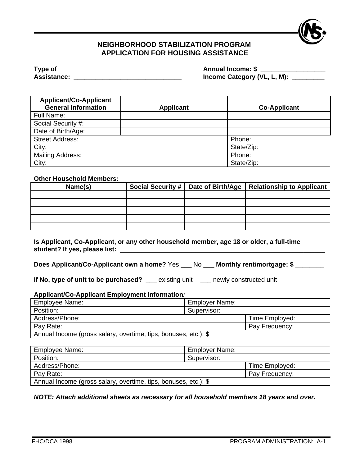

## **NEIGHBORHOOD STABILIZATION PROGRAM APPLICATION FOR HOUSING ASSISTANCE**

| Type of            | <b>Annual Income: \$</b>    |
|--------------------|-----------------------------|
| <b>Assistance:</b> | Income Category (VL, L, M): |

| <b>Applicant/Co-Applicant</b> |                  |                     |
|-------------------------------|------------------|---------------------|
| <b>General Information</b>    | <b>Applicant</b> | <b>Co-Applicant</b> |
| Full Name:                    |                  |                     |
| Social Security #:            |                  |                     |
| Date of Birth/Age:            |                  |                     |
| <b>Street Address:</b>        |                  | Phone:              |
| City:                         |                  | State/Zip:          |
| Mailing Address:              |                  | Phone:              |
| City:                         |                  | State/Zip:          |

## **Other Household Members:**

| Name(s) |  | Social Security #   Date of Birth/Age   Relationship to Applicant |
|---------|--|-------------------------------------------------------------------|
|         |  |                                                                   |
|         |  |                                                                   |
|         |  |                                                                   |
|         |  |                                                                   |
|         |  |                                                                   |

**Is Applicant, Co-Applicant, or any other household member, age 18 or older, a full-time**  student? If yes, please list:

**Does Applicant/Co-Applicant own a home?** Yes \_\_\_ No \_\_\_ **Monthly rent/mortgage: \$ \_\_\_\_\_\_\_\_**

**If No, type of unit to be purchased?** \_\_\_ existing unit \_\_\_ newly constructed unit

## **Applicant/Co-Applicant Employment Information***:*

| Employee Name:                                                  | <b>Employer Name:</b> |                |  |
|-----------------------------------------------------------------|-----------------------|----------------|--|
| Position:                                                       | Supervisor:           |                |  |
| Address/Phone:                                                  |                       | Time Employed: |  |
| Pay Rate:                                                       |                       | Pay Frequency: |  |
| Annual Income (gross salary, overtime, tips, bonuses, etc.): \$ |                       |                |  |

| Employee Name:                                                  | <b>Employer Name:</b> |                |  |
|-----------------------------------------------------------------|-----------------------|----------------|--|
| Position:                                                       | Supervisor:           |                |  |
| Address/Phone:                                                  |                       | Time Employed: |  |
| Pay Rate:                                                       |                       | Pay Frequency: |  |
| Annual Income (gross salary, overtime, tips, bonuses, etc.): \$ |                       |                |  |

*NOTE: Attach additional sheets as necessary for all household members 18 years and over.*